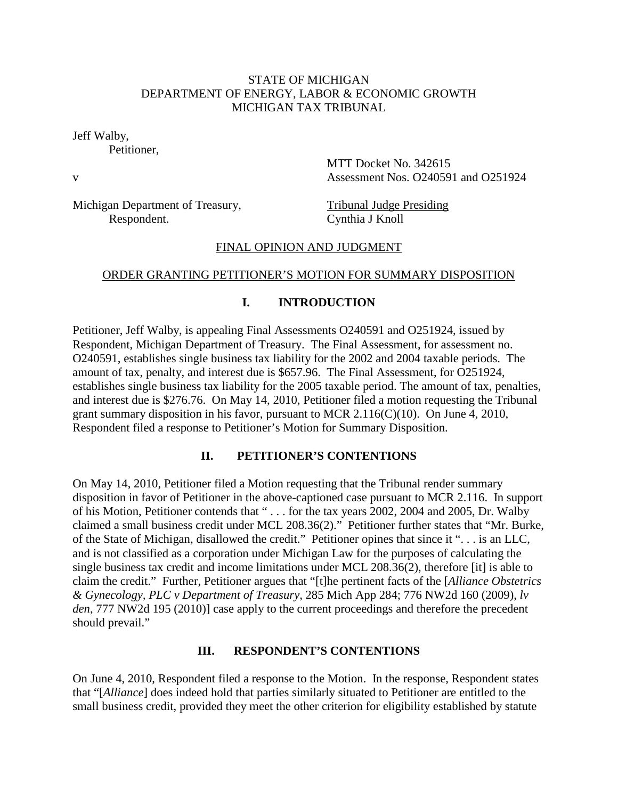### STATE OF MICHIGAN DEPARTMENT OF ENERGY, LABOR & ECONOMIC GROWTH MICHIGAN TAX TRIBUNAL

Jeff Walby,

Petitioner,

MTT Docket No. 342615 v Assessment Nos. O240591 and O251924

Michigan Department of Treasury, Tribunal Judge Presiding Respondent. Cynthia J Knoll

### FINAL OPINION AND JUDGMENT

### ORDER GRANTING PETITIONER'S MOTION FOR SUMMARY DISPOSITION

## **I. INTRODUCTION**

Petitioner, Jeff Walby, is appealing Final Assessments O240591 and O251924, issued by Respondent, Michigan Department of Treasury. The Final Assessment, for assessment no. O240591, establishes single business tax liability for the 2002 and 2004 taxable periods. The amount of tax, penalty, and interest due is \$657.96. The Final Assessment, for O251924, establishes single business tax liability for the 2005 taxable period. The amount of tax, penalties, and interest due is \$276.76. On May 14, 2010, Petitioner filed a motion requesting the Tribunal grant summary disposition in his favor, pursuant to MCR 2.116(C)(10). On June 4, 2010, Respondent filed a response to Petitioner's Motion for Summary Disposition.

### **II. PETITIONER'S CONTENTIONS**

On May 14, 2010, Petitioner filed a Motion requesting that the Tribunal render summary disposition in favor of Petitioner in the above-captioned case pursuant to MCR 2.116. In support of his Motion, Petitioner contends that " . . . for the tax years 2002, 2004 and 2005, Dr. Walby claimed a small business credit under MCL 208.36(2)." Petitioner further states that "Mr. Burke, of the State of Michigan, disallowed the credit." Petitioner opines that since it ". . . is an LLC, and is not classified as a corporation under Michigan Law for the purposes of calculating the single business tax credit and income limitations under MCL 208.36(2), therefore [it] is able to claim the credit." Further, Petitioner argues that "[t]he pertinent facts of the [*Alliance Obstetrics & Gynecology, PLC v Department of Treasury*, 285 Mich App 284; 776 NW2d 160 (2009), *lv den*, 777 NW2d 195 (2010)] case apply to the current proceedings and therefore the precedent should prevail."

#### **III. RESPONDENT'S CONTENTIONS**

On June 4, 2010, Respondent filed a response to the Motion. In the response, Respondent states that "[*Alliance*] does indeed hold that parties similarly situated to Petitioner are entitled to the small business credit, provided they meet the other criterion for eligibility established by statute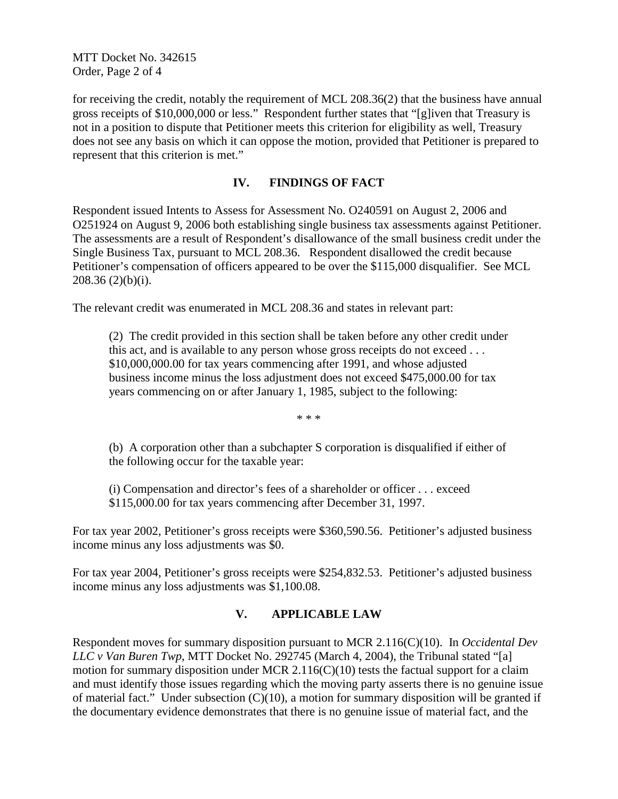MTT Docket No. 342615 Order, Page 2 of 4

for receiving the credit, notably the requirement of MCL 208.36(2) that the business have annual gross receipts of \$10,000,000 or less." Respondent further states that "[g]iven that Treasury is not in a position to dispute that Petitioner meets this criterion for eligibility as well, Treasury does not see any basis on which it can oppose the motion, provided that Petitioner is prepared to represent that this criterion is met."

### **IV. FINDINGS OF FACT**

Respondent issued Intents to Assess for Assessment No. O240591 on August 2, 2006 and O251924 on August 9, 2006 both establishing single business tax assessments against Petitioner. The assessments are a result of Respondent's disallowance of the small business credit under the Single Business Tax, pursuant to MCL 208.36. Respondent disallowed the credit because Petitioner's compensation of officers appeared to be over the \$115,000 disqualifier. See MCL 208.36 (2)(b)(i).

The relevant credit was enumerated in MCL 208.36 and states in relevant part:

(2) The credit provided in this section shall be taken before any other credit under this act, and is available to any person whose gross receipts do not exceed . . . \$10,000,000.00 for tax years commencing after 1991, and whose adjusted business income minus the loss adjustment does not exceed \$475,000.00 for tax years commencing on or after January 1, 1985, subject to the following:

\* \* \*

(b) A corporation other than a subchapter S corporation is disqualified if either of the following occur for the taxable year:

(i) Compensation and director's fees of a shareholder or officer . . . exceed \$115,000.00 for tax years commencing after December 31, 1997.

For tax year 2002, Petitioner's gross receipts were \$360,590.56. Petitioner's adjusted business income minus any loss adjustments was \$0.

For tax year 2004, Petitioner's gross receipts were \$254,832.53. Petitioner's adjusted business income minus any loss adjustments was \$1,100.08.

### **V. APPLICABLE LAW**

Respondent moves for summary disposition pursuant to MCR 2.116(C)(10). In *Occidental Dev LLC v Van Buren Twp*, MTT Docket No. 292745 (March 4, 2004), the Tribunal stated "[a] motion for summary disposition under MCR 2.116(C)(10) tests the factual support for a claim and must identify those issues regarding which the moving party asserts there is no genuine issue of material fact." Under subsection  $(C)(10)$ , a motion for summary disposition will be granted if the documentary evidence demonstrates that there is no genuine issue of material fact, and the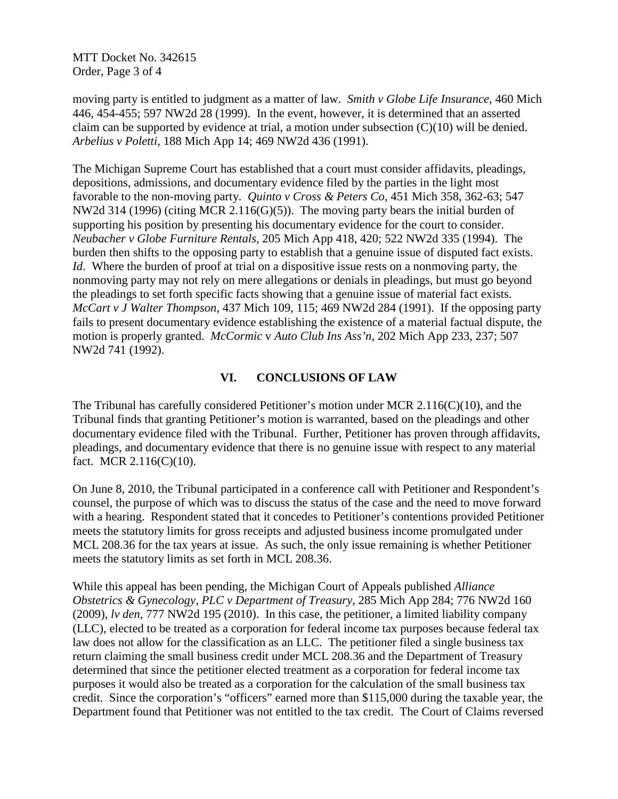MTT Docket No. 342615 Order, Page 3 of 4

moving party is entitled to judgment as a matter of law. *Smith v Globe Life Insurance*, 460 Mich 446, 454-455; 597 NW2d 28 (1999). In the event, however, it is determined that an asserted claim can be supported by evidence at trial, a motion under subsection  $(C)(10)$  will be denied. *Arbelius v Poletti*, 188 Mich App 14; 469 NW2d 436 (1991).

The Michigan Supreme Court has established that a court must consider affidavits, pleadings, depositions, admissions, and documentary evidence filed by the parties in the light most favorable to the non-moving party. *Quinto v Cross & Peters Co*, 451 Mich 358, 362-63; 547 NW2d 314 (1996) (citing MCR 2.116(G)(5)).The moving party bears the initial burden of supporting his position by presenting his documentary evidence for the court to consider. *Neubacher v Globe Furniture Rentals*, 205 Mich App 418, 420; 522 NW2d 335 (1994). The burden then shifts to the opposing party to establish that a genuine issue of disputed fact exists. *Id.* Where the burden of proof at trial on a dispositive issue rests on a nonmoving party, the nonmoving party may not rely on mere allegations or denials in pleadings, but must go beyond the pleadings to set forth specific facts showing that a genuine issue of material fact exists. *McCart v J Walter Thompson*, 437 Mich 109, 115; 469 NW2d 284 (1991). If the opposing party fails to present documentary evidence establishing the existence of a material factual dispute, the motion is properly granted. *McCormic* v *Auto Club Ins Ass'n*, 202 Mich App 233, 237; 507 NW2d 741 (1992).

### **VI. CONCLUSIONS OF LAW**

The Tribunal has carefully considered Petitioner's motion under MCR 2.116(C)(10), and the Tribunal finds that granting Petitioner's motion is warranted, based on the pleadings and other documentary evidence filed with the Tribunal. Further, Petitioner has proven through affidavits, pleadings, and documentary evidence that there is no genuine issue with respect to any material fact. MCR 2.116(C)(10).

On June 8, 2010, the Tribunal participated in a conference call with Petitioner and Respondent's counsel, the purpose of which was to discuss the status of the case and the need to move forward with a hearing. Respondent stated that it concedes to Petitioner's contentions provided Petitioner meets the statutory limits for gross receipts and adjusted business income promulgated under MCL 208.36 for the tax years at issue. As such, the only issue remaining is whether Petitioner meets the statutory limits as set forth in MCL 208.36.

While this appeal has been pending, the Michigan Court of Appeals published *Alliance Obstetrics & Gynecology, PLC v Department of Treasury*, 285 Mich App 284; 776 NW2d 160 (2009), *lv den*, 777 NW2d 195 (2010). In this case, the petitioner, a limited liability company (LLC), elected to be treated as a corporation for federal income tax purposes because federal tax law does not allow for the classification as an LLC. The petitioner filed a single business tax return claiming the small business credit under MCL 208.36 and the Department of Treasury determined that since the petitioner elected treatment as a corporation for federal income tax purposes it would also be treated as a corporation for the calculation of the small business tax credit. Since the corporation's "officers" earned more than \$115,000 during the taxable year, the Department found that Petitioner was not entitled to the tax credit. The Court of Claims reversed